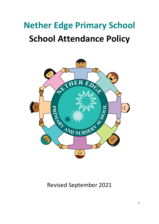# **Nether Edge Primary School School Attendance Policy**



# Revised September 2021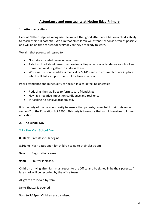# **Attendance and punctuality at Nether Edge Primary**

# **1. Attendance Aims**

Here at Nether Edge we recognise the impact that good attendance has on a child's ability to reach their full potential. We aim that all children will attend school as often as possible and will be on time for school every day so they are ready to learn.

We aim that parents will agree to:

- Not take extended leave in term time
- Talk to school about issues that are impacting on school attendance so school and home can work together to address these
- Work with school to address medical or SEND needs to ensure plans are in place which will fully support their child's time in school

Poor attendance and punctuality can result in a child feeling unsettled:

- Reducing their abilities to form secure friendships
- Having a negative impact on confidence and resilience
- Struggling to achieve academically

It is the duty of the Local Authority to ensure that parents/carers fulfil their duty under section 7 of the Education Act 1996. This duty is to ensure that a child receives full time education.

#### **2. The School Day**

#### **2.1 - The Main School Day**

**8.00am:** Breakfast club begins

**8.30am:** Main gates open for children to go to their classroom

**9am:** Registration closes.

**9am:** Shutter is closed.

Children arriving after 9am must report to the Office and be signed in by their parents. A late mark will be recorded by the office team.

All gates are locked by 9am

**3pm:** Shutter is opened

**3pm to 3:15pm:** Children are dismissed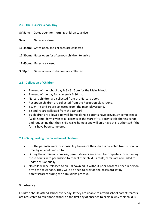# **2.2 - The Nursery School Day**

**8:45am:** Gates open for morning children to arrive

**9am:** Gates are closed

- **11:45am:** Gates open and children are collected
- **12:30pm:** Gates open for afternoon children to arrive
- **12:45pm:** Gates are closed
- **3:30pm:** Gates open and children are collected.

#### **2.3 - Collection of Children**

- The end of the school day is 3 3.15pm for the Main School.
- The end of the day for Nursery is 3:30pm.
- Nursery children are collected from the Nursery door.
- Reception children are collected from the Reception playground.
- Y1, Y4, Y5 and Y6 are collected from the main playground.
- Y2 and Y3 are collected from the car park.
- Y6 children are allowed to walk home alone if parents have previously completed a 'Walk home' form given to all parents at the start of Y6. Parents telephoning school and requesting that their child walks home alone will only have this authorised if the forms have been completed.

#### **2.4 – Safeguarding the collection of children**

- It is the parent/carers` responsibility to ensure their child is collected from school, on time, by an adult known to us.
- During the admissions process, parents/carers are asked to complete a form naming those adults with permission to collect their child. Parents/carers are reminded to update this annually.
- No child will be released to an unknown adult without prior consent either in person or via the telephone. They will also need to provide the password set by parents/carers during the admissions process.

# **3. Absence**

Children should attend school every day. If they are unable to attend school parents/carers are requested to telephone school on the first day of absence to explain why their child is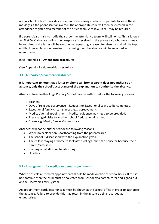not in school. School provides a telephone answering machine for parents to leave these messages if the phone isn't answered. The appropriate code will then be entered in the attendance register by a member of the office team. A follow up call may be required.

If a parent/carer fails to notify the school the attendance team will call home. This is known as 'First Day' absence calling. If no response is received to the phone call, a home visit may be required and a letter will be sent home requesting a reason for absence and will be kept on file. If no explanation remains forthcoming then the absence will be recorded as unauthorised.

(See Appendix 1 – **Attendance procedures**)

(See Appendix 2 - **Home visit thresholds)**

# **3.1 - Authorised/unauthorised absence**

# **It is important to note that a letter or phone call from a parent does not authorise an absence, only the school's acceptance of the explanation can authorise the absence.**

Absences from Nether Edge Primary School may be authorised for the following reasons:

- Sickness
- Days of religious observance Request for Exceptional Leave to be completed.
- Exceptional family circumstances, e.g. bereavement.
- Medical/dental appointment Medical evidence may need to be provided.
- Pre-arranged visits to another school / educational setting.
- Exams e.g. Music, Dance, Gymnastics etc.

Absences will not be authorised for the following reasons:

- When no explanation is forthcoming from the parent/carer.
- The school is dissatisfied with the explanation given.
- The child is staying at home to look after siblings, mind the house or because their parent/carer is ill.
- Keeping off all day due to late rising.
- Holidays.

#### **3.2 - Arrangements for medical or dental appointments**

Where possible all medical appointments should be made outside of school hours. If this is not possible then the child must be collected from school by a parent/carer and signed out on the Electronic Entry System.

An appointment card, letter or text must be shown at the school office in order to authorise the absence. Failure to provide this may result in the absence being recorded as unauthorised.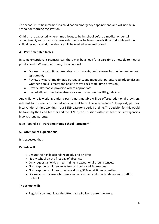The school must be informed if a child has an emergency appointment, and will not be in school for morning registration.

Children are expected, where time allows, to be in school before a medical or dental appointment, and to return afterwards. If school believes there is time to do this and the child does not attend, the absence will be marked as unauthorised.

# **4. Part-time table tables**

In some exceptional circumstances, there may be a need for a part-time timetable to meet a pupil's needs. Where this occurs, the school will:

- Discuss the part time timetable with parents, and ensure full understanding and agreement;
- Review any part time timetables regularly, and meet with parents regularly to discuss whether a child is ready and able to move back to full time provision;
- Provide alternative provision where appropriate;
- Record all part time table absence as authorised (as per DfE guidelines).

Any child who is working under a part time timetable will be offered additional provision, relevant to the needs of the individual at that time. This may include 1:1 support, pastoral intervention or time working in our SEND base for a period of time. The decision for this would be taken by the Head Teacher and the SENCo, in discussion with class teachers, any agencies involved and parents.

# (See Appendix 3 – **Part time Home School Agreement)**

#### **5. Attendance Expectations**

It is expected that:

#### **Parents will:**

- Ensure their child attends regularly and on time.
- Notify school on the first day of absence.
- Only request a holiday in term time in exceptional circumstances.
- Not keep their children away from school for trivial reasons.
- Not keep their children off school during SATs or at times of testing.
- Discuss any concerns which may impact on their child's attendance with staff in school

#### **The school will:**

• Regularly communicate the Attendance Policy to parents/carers.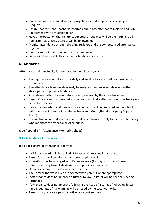- Share children's current attendance regularly or make figures available upon request.
- Ensure that the Head Teacher is informed about any attendance matters and is in agreement with any action taken.
- Have an expectation that full time, punctual attendance will be the norm and all persistent absences/lateness will be followed up.
- Monitor attendance through checking registers and the computerised attendance system.
- Identify and act upon problems with attendance.
- Liaise with the Local Authority over attendance concerns.

# **6. Monitoring**

Attendance and punctuality is monitored in the following ways:

- The registers are monitored on a daily and weekly basis by staff responsible for attendance.
- The attendance team meets weekly to analyse attendance and develop further strategies to improve attendance.
- Attendance patterns are monitored every 4 weeks by the attendance team.
- Parents/carers will be informed as soon as their child's attendance or punctuality is a cause for concern
- Individual records of children who raise concerns will be discussed within school, with the Local Authority Attendance Team and MAST (The Multi Agency Support Team).
- Information on attendance and punctuality is returned termly to the Local Authority who monitors the attendance of all pupils.

(See Appendix 4 - Attendance Monitoring sheet)

# **5.1 - Attendance Procedures**

If a poor pattern of attendance is formed:

- Individual records will be looked at to ascertain reasons for absence.
- Parent/carers will be informed via letter or phone call.
- A meeting may be arranged with Parents/carers (LA may also attend these) to discuss and implement strategies for improving attendance.
- Home visits may be made if absence persists.
- The Local authority will keep in contact with parents where appropriate.
- If Attendance does not improve a further follow up letter will be sent or meeting arranged
- If Attendance does not improve following the issue of a series of follow up letters and meetings, a final warning will be issued by the Local Authority.
- Parents may receive a penalty notice or a court summons.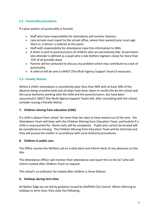# **6.2 - Punctuality procedures**

If a poor pattern of punctuality is formed:

- Staff who have responsibility for attendance will monitor lateness.
- Late arrivals must report to the school office, where their parent/carer must sign them in. A dinner is ordered at this point.
- Staff with responsibility for attendance input this information to SIMs
- A letter is sent to parents/carers of children who are persistently late. (A persistent late attender is defined as a pupil who is late (before registers close) for more than 15% of all possible days)
- Parents will be contacted to discuss any problem which may contribute to a lack of punctuality.
- A referral will be sent to MAST (The Multi Agency Support Team) if necessary.

# **5.3 - Penalty Notices**

Where a child's attendance is consistently poor (less than 90% with at least 20% of the absence being unauthorised) and all steps have been taken to rectify this by the school and the Local Authority working with the child and the parents/carers, but have been unsuccessful. MAST (the Multi Agency Support Team) will, after consulting with the school, consider issuing a Penalty Notice.

# **7. Children missing from education (CME)**

If a child is absent from school for more than ten days or have moved out of the area the Attendance Team will liaise with the Children Missing from Education Team, particularly if a child is unaccounted for. Home visits will be completed. Pupils who cannot be located will be considered as missing. The Children Missing from Education Team will be informed and they will pursue the matter in accordance with Local Authority procedures.

# **8. Children in public care**

The Office receive the Welfare call on a daily basis and inform them of any absences on the day.

The Attendance Officer will monitor their attendance and report this to the SLT who will inform Looked after Children Team on request.

The school's co-ordinator for looked after children is Anne Robson.

# **9. Holidays during term time**

At Nether Edge we are led by guidance issued by Sheffield City Council. When referring to holidays in term time, they state the following: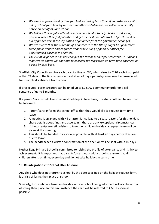- *We won't approve holiday time for children during term time. If you take your child out of school for a holiday or other unauthorised absence, we will issue a penalty notice on behalf of your school.*
- *We believe that regular attendance at school is vital to help children and young people achieve their full potential and get the best possible start in life. This will be our approach unless the legislation or guidance from the government changes.*
- *We are aware that the outcome of a court case in the Isle of Wight has generated some public debate and enquiries about the issuing of penalty notices for unauthorised absence in Sheffield.*
- *The Isle of Wight case has not changed the law or set a legal precedent. This means magistrates courts will continue to consider the legislation on term time absences on a case by case basis.*

Sheffield City Council can give each parent a fine of £60, which rises to £120 each if not paid within 21 days. If the fine remains unpaid after 28 days, parents/carers may be prosecuted for their child's absence from school.

If prosecuted, parents/carers can be fined up to £2,500, a community order or a jail sentence of up to 3 months.

If a parent/carer would like to request holidays in term time, the steps outlined below must be followed:

- 1. Parent/carer informs the school office that they would like to request term time leave.
- 2. A meeting is arranged with HT or attendance lead to discuss reasons for this holiday, share details about fines and ascertain if there are any exceptional circumstances.
- 3. If the parent/carer still wishes to take their child on holiday, a request form will be given at the meeting.
- 4. This should be handed in as soon as possible, with at least 20 days before they are due to leave.
- 5. The headteacher's written confirmation of the decision will be sent within 10 days.

Nether Edge Primary School is committed to raising the profile of attendance and its link to achievement. It is important that parents/carers work with school to ensure that all children attend on time, every day and do not take holidays in term time.

# **10. Re-integration into School after Absence**

Any child who does not return to school by the date specified on the holiday request form, is at risk of losing their place at school.

Similarly, those who are taken on holiday without school being informed, will also be at risk of losing their place. In this circumstance the child will be referred to CME as soon as possible.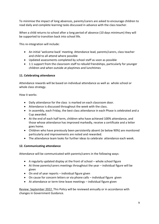To minimise the impact of long absences, parents/carers are asked to encourage children to read daily and complete learning tasks discussed in advance with the class teacher.

When a child returns to school after a long period of absence (10 days minimum) they will be supported to transition back into school life.

This re-integration will include:

- An initial 'welcome back' meeting. Attendance lead, parents/carers, class teacher and child to all attend where possible
- Updated assessments completed by school staff as soon as possible
- 1:1 support from the classroom staff to rebuild friendships, particularly for younger children and when outside at playtimes and lunchtimes

# **11. Celebrating attendance**

Attendance rewards will be based on individual attendance as well as whole school or whole class strategy.

How it works:

- Daily attendance for the class is marked on each classroom door.
- Attendance is discussed throughout the week with the class.
- In assembly, each Friday, the best class attendance in each Phase is celebrated and a Cup awarded.
- At the end of each half term, children who have achieved 100% attendance, and those whose attendance has improved markedly, receive a certificate and a letter goes home.
- Children who have previously been persistently absent (ie below 90%) are monitored particularly and improvements are noted and rewarded.
- The attendance team looks for further ideas to celebrate attendance each week.

# **12. Communicating attendance**

Attendance will be communicated with parents/carers in the following ways:

- A regularly updated display at the front of school whole school figure
- At three parents/carers meetings throughout the year individual figure will be given
- On end of year reports individual figure given
- On cause for concern letters or via phone calls individual figure given
- At attendance or term time leave meetings individual figure given

Review: September 2022. This Policy will be reviewed annually or in accordance with changes in Government Guidance.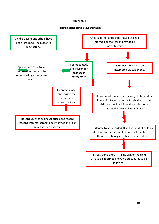# **Appendix 1**

#### **Absence procedures at Nether Edge**

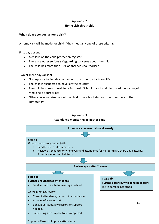# **Appendix 2 Home visit thresholds**

# **When do we conduct a home visit?**

A home visit will be made for child if they meet any one of these criteria:

First day absent

- A child is on the child protection register
- There are other serious safeguarding concerns about the child
- The child has more than 10% of absence unauthorised

Two or more days absent

- No response to first day contact or from other contacts on SIMs
- The child is suspected to have left the country
- The child has been unwell for a full week. School to visit and discuss administering of medicine if appropriate
- Other concerns raised about the child from school staff or other members of the community



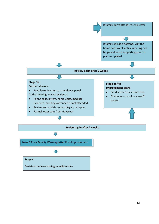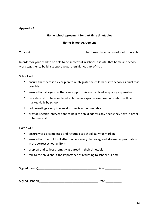# **Appendix 4**

# **Home school agreement for part time timetables**

# **Home School Agreement**

Your child **Your child Sourch and COV** has been placed on a reduced timetable.

In order for your child to be able to be successful in school, it is vital that home and school work together to build a supportive partnership. As part of that;

School will:

- ensure that there is a clear plan to reintegrate the child back into school as quickly as possible
- ensure that all agencies that can support this are involved as quickly as possible
- provide work to be completed at home in a specific exercise book which will be marked daily by school
- hold meetings every two weeks to review the timetable
- provide specific interventions to help the child address any needs they have in order to be successful.

Home will:

- ensure work is completed and returned to school daily for marking
- ensure that the child will attend school every day, as agreed, dressed appropriately in the correct school uniform
- drop off and collect promptly as agreed in their timetable
- talk to the child about the importance of returning to school full time.

| Signed (home) |  |
|---------------|--|
|               |  |

| Signed (school) | Date |  |
|-----------------|------|--|
|                 |      |  |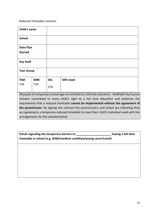Reduced Timetable Contract

| Child's name                                                                                                                                                                            |            |            |                  |
|-----------------------------------------------------------------------------------------------------------------------------------------------------------------------------------------|------------|------------|------------------|
| <b>School</b>                                                                                                                                                                           |            |            |                  |
| <b>Date Plan</b><br><b>Started</b>                                                                                                                                                      |            |            |                  |
| <b>Key Staff</b>                                                                                                                                                                        |            |            |                  |
| <b>Year Group</b>                                                                                                                                                                       |            |            |                  |
| <b>FSM</b>                                                                                                                                                                              | <b>BME</b> | <b>EAL</b> | <b>SEN need:</b> |
| Y/N                                                                                                                                                                                     | Y/N        | Y/N        |                  |
| All pupils of compulsory school age are entitled to a full time education. Sheffield City Council<br>remains committed to every child's right to a full time education and endorses the |            |            |                  |

requirement that a reduced timetable **cannot be implemented without the agreement of the parent/carer.** By signing this contract the parent/carers and school are indicating they are agreeing to a temporary reduced timetable to meet their child's individual need with the arrangements for this detailed below

| Detail regarding the temporary barriers to<br>timetable in school (e.g. SEND/medical condition/young carer/travel) | having a full time |
|--------------------------------------------------------------------------------------------------------------------|--------------------|
|                                                                                                                    |                    |
|                                                                                                                    |                    |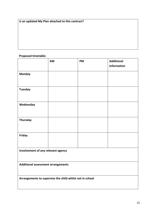**Is an updated My Plan attached to this contract?** 

# **Proposed timetable:**

|                                                          | AM | <b>PM</b> | <b>Additional</b><br><b>Information</b> |  |
|----------------------------------------------------------|----|-----------|-----------------------------------------|--|
| <b>Monday</b>                                            |    |           |                                         |  |
| <b>Tuesday</b>                                           |    |           |                                         |  |
|                                                          |    |           |                                         |  |
| Wednesday                                                |    |           |                                         |  |
| <b>Thursday</b>                                          |    |           |                                         |  |
| Friday                                                   |    |           |                                         |  |
| Involvement of any relevant agency                       |    |           |                                         |  |
| Additional assessment arrangements                       |    |           |                                         |  |
| Arrangements to supervise the child whilst not in school |    |           |                                         |  |